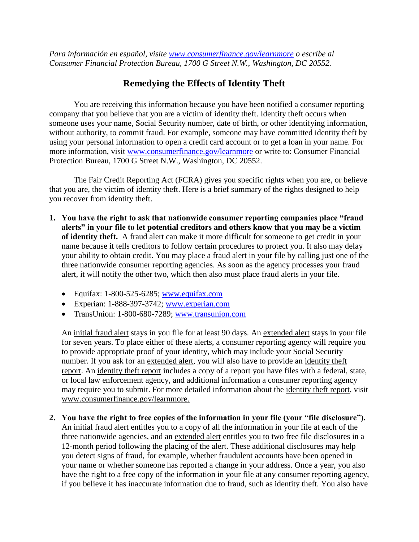*Para información en español, visite [www.consumerfinance.gov/learnmore](http://www.consumerfinance.gov/learnmore) o escribe al Consumer Financial Protection Bureau, 1700 G Street N.W., Washington, DC 20552.*

## **Remedying the Effects of Identity Theft**

You are receiving this information because you have been notified a consumer reporting company that you believe that you are a victim of identity theft. Identity theft occurs when someone uses your name, Social Security number, date of birth, or other identifying information, without authority, to commit fraud. For example, someone may have committed identity theft by using your personal information to open a credit card account or to get a loan in your name. For more information, visit [www.consumerfinance.gov/learnmore](http://www.consumerfinance.gov/learnmore) or write to: Consumer Financial Protection Bureau, 1700 G Street N.W., Washington, DC 20552.

The Fair Credit Reporting Act (FCRA) gives you specific rights when you are, or believe that you are, the victim of identity theft. Here is a brief summary of the rights designed to help you recover from identity theft.

- **1. You have the right to ask that nationwide consumer reporting companies place "fraud alerts" in your file to let potential creditors and others know that you may be a victim of identity theft.** A fraud alert can make it more difficult for someone to get credit in your name because it tells creditors to follow certain procedures to protect you. It also may delay your ability to obtain credit. You may place a fraud alert in your file by calling just one of the three nationwide consumer reporting agencies. As soon as the agency processes your fraud alert, it will notify the other two, which then also must place fraud alerts in your file.
	- Equifax:  $1-800-525-6285$ ; [www.equifax.com](http://www.equifax.com/)
	- Experian: 1-888-397-3742; [www.experian.com](http://www.experian.com/)
	- TransUnion: 1-800-680-7289; [www.transunion.com](http://www.transunion.com/)

An initial fraud alert stays in you file for at least 90 days. An extended alert stays in your file for seven years. To place either of these alerts, a consumer reporting agency will require you to provide appropriate proof of your identity, which may include your Social Security number. If you ask for an extended alert, you will also have to provide an identity theft report. An identity theft report includes a copy of a report you have files with a federal, state, or local law enforcement agency, and additional information a consumer reporting agency may require you to submit. For more detailed information about the identity theft report, visit www.consumerfinance.gov/learnmore.

**2. You have the right to free copies of the information in your file (your "file disclosure").** An initial fraud alert entitles you to a copy of all the information in your file at each of the three nationwide agencies, and an extended alert entitles you to two free file disclosures in a 12-month period following the placing of the alert. These additional disclosures may help you detect signs of fraud, for example, whether fraudulent accounts have been opened in your name or whether someone has reported a change in your address. Once a year, you also have the right to a free copy of the information in your file at any consumer reporting agency, if you believe it has inaccurate information due to fraud, such as identity theft. You also have